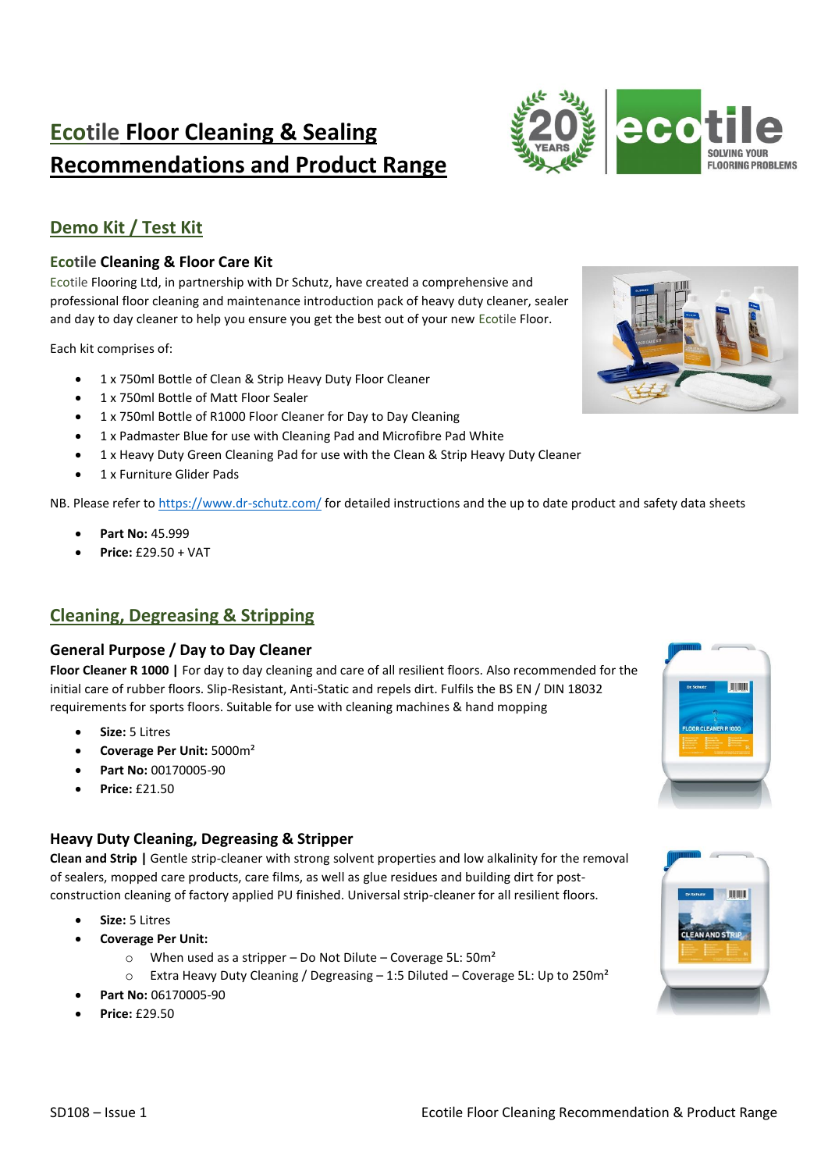# **Ecotile Floor Cleaning & Sealing Recommendations and Product Range**



# **Demo Kit / Test Kit**

### **Ecotile Cleaning & Floor Care Kit**

Ecotile Flooring Ltd, in partnership with Dr Schutz, have created a comprehensive and professional floor cleaning and maintenance introduction pack of heavy duty cleaner, sealer and day to day cleaner to help you ensure you get the best out of your new Ecotile Floor.

Each kit comprises of:

- 1 x 750ml Bottle of Clean & Strip Heavy Duty Floor Cleaner
- 1 x 750ml Bottle of Matt Floor Sealer
- 1 x 750ml Bottle of R1000 Floor Cleaner for Day to Day Cleaning
- 1 x Padmaster Blue for use with Cleaning Pad and Microfibre Pad White
- 1 x Heavy Duty Green Cleaning Pad for use with the Clean & Strip Heavy Duty Cleaner
- 1 x Furniture Glider Pads

NB. Please refer to<https://www.dr-schutz.com/> for detailed instructions and the up to date product and safety data sheets

- **Part No:** 45.999
- **Price:** £29.50 + VAT

# **Cleaning, Degreasing & Stripping**

### **General Purpose / Day to Day Cleaner**

**Floor Cleaner R 1000 |** For day to day cleaning and care of all resilient floors. Also recommended for the initial care of rubber floors. Slip-Resistant, Anti-Static and repels dirt. Fulfils the BS EN / DIN 18032 requirements for sports floors. Suitable for use with cleaning machines & hand mopping

- **Size:** 5 Litres
- **Coverage Per Unit:** 5000m²
- **Part No:** 00170005-90
- **Price:** £21.50

### **Heavy Duty Cleaning, Degreasing & Stripper**

**Clean and Strip |** Gentle strip-cleaner with strong solvent properties and low alkalinity for the removal of sealers, mopped care products, care films, as well as glue residues and building dirt for postconstruction cleaning of factory applied PU finished. Universal strip-cleaner for all resilient floors.

- **Size:** 5 Litres
- **Coverage Per Unit:**
	- $\degree$  When used as a stripper Do Not Dilute Coverage 5L: 50m<sup>2</sup>
	- o Extra Heavy Duty Cleaning / Degreasing 1:5 Diluted Coverage 5L: Up to 250m²
- **Part No:** 06170005-90
- **Price:** £29.50



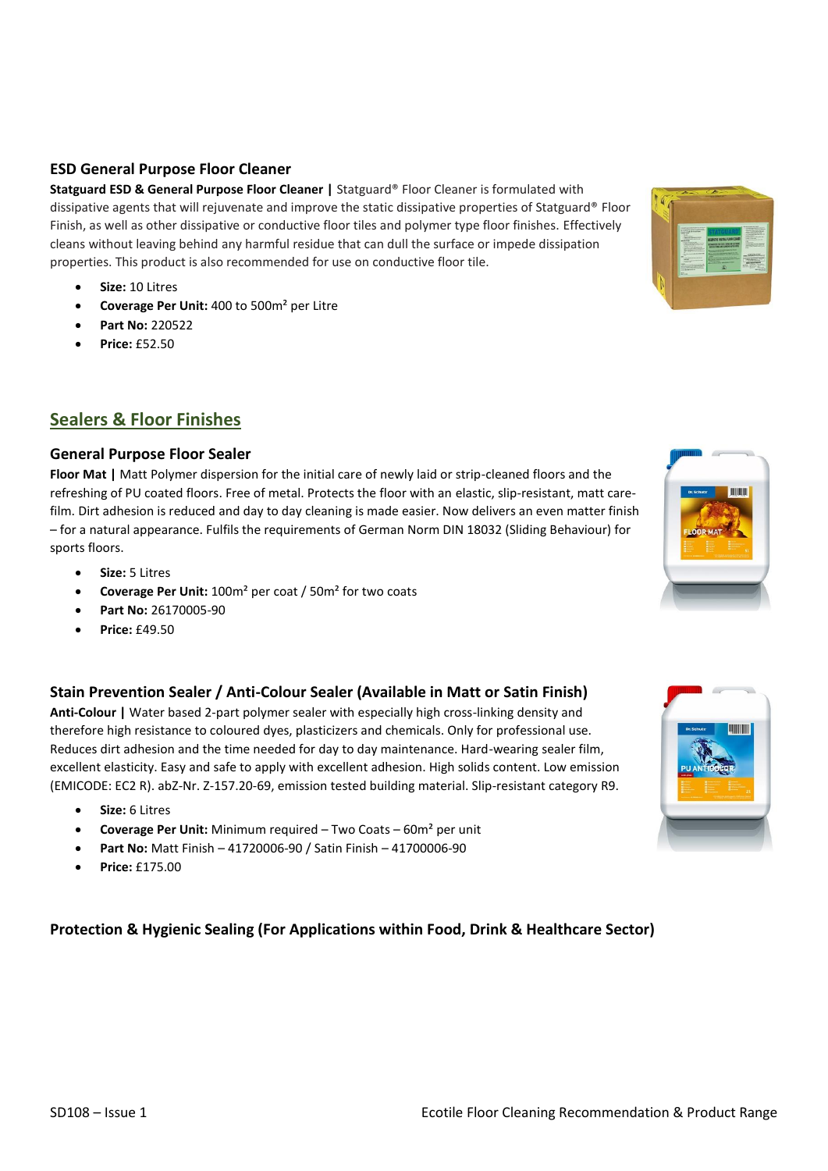# **ESD General Purpose Floor Cleaner**

**Statguard ESD & General Purpose Floor Cleaner |** Statguard® Floor Cleaner is formulated with dissipative agents that will rejuvenate and improve the static dissipative properties of Statguard® Floor Finish, as well as other dissipative or conductive floor tiles and polymer type floor finishes. Effectively cleans without leaving behind any harmful residue that can dull the surface or impede dissipation properties. This product is also recommended for use on conductive floor tile.

- **Size:** 10 Litres
- **Coverage Per Unit:** 400 to 500m² per Litre
- **Part No:** 220522
- **Price:** £52.50

# **Sealers & Floor Finishes**

# **General Purpose Floor Sealer**

**Floor Mat |** Matt Polymer dispersion for the initial care of newly laid or strip-cleaned floors and the refreshing of PU coated floors. Free of metal. Protects the floor with an elastic, slip-resistant, matt carefilm. Dirt adhesion is reduced and day to day cleaning is made easier. Now delivers an even matter finish – for a natural appearance. Fulfils the requirements of German Norm DIN 18032 (Sliding Behaviour) for sports floors.

- **Size:** 5 Litres
- **Coverage Per Unit:** 100m² per coat / 50m² for two coats
- **Part No:** 26170005-90
- **Price:** £49.50

# **Stain Prevention Sealer / Anti-Colour Sealer (Available in Matt or Satin Finish)**

**Anti-Colour |** Water based 2-part polymer sealer with especially high cross-linking density and therefore high resistance to coloured dyes, plasticizers and chemicals. Only for professional use. Reduces dirt adhesion and the time needed for day to day maintenance. Hard-wearing sealer film, excellent elasticity. Easy and safe to apply with excellent adhesion. High solids content. Low emission (EMICODE: EC2 R). abZ-Nr. Z-157.20-69, emission tested building material. Slip-resistant category R9.

- **Size:** 6 Litres
- **Coverage Per Unit:** Minimum required Two Coats 60m² per unit
- **Part No:** Matt Finish 41720006-90 / Satin Finish 41700006-90
- **Price:** £175.00

# **Protection & Hygienic Sealing (For Applications within Food, Drink & Healthcare Sector)**





# **HINK**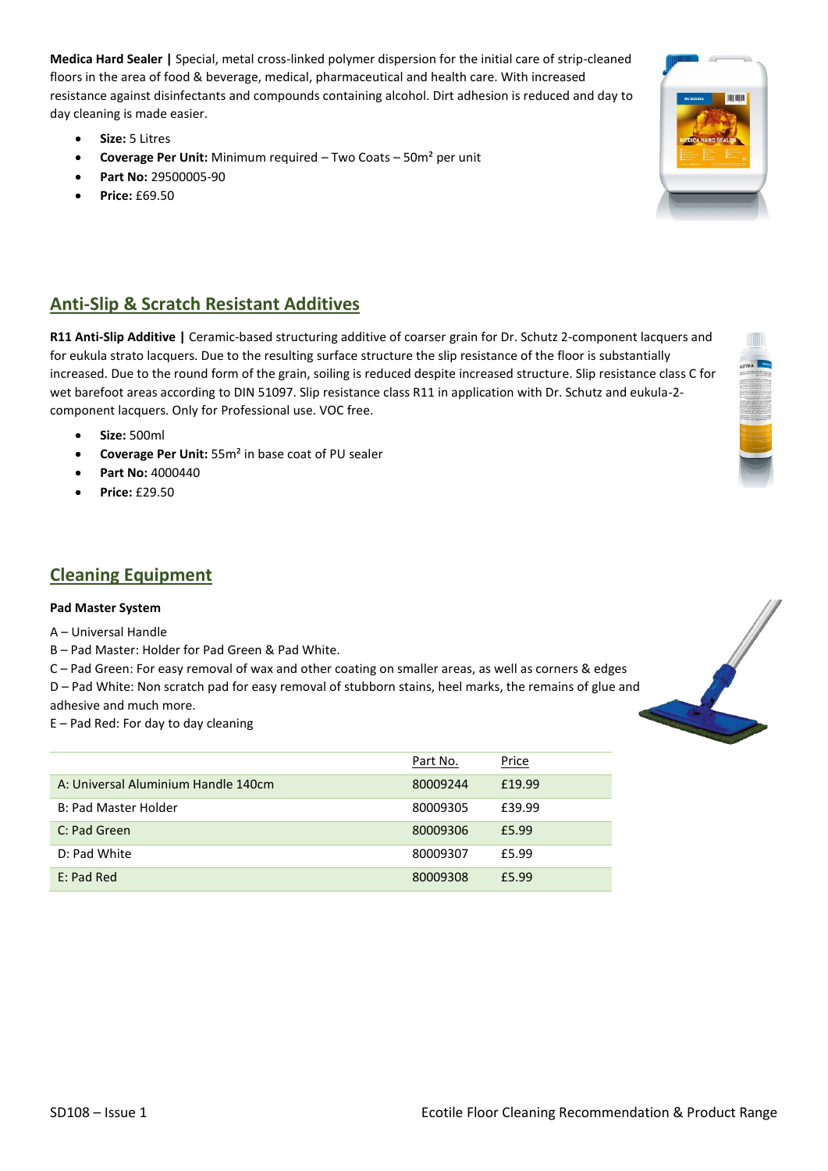**Medica Hard Sealer |** Special, metal cross-linked polymer dispersion for the initial care of strip-cleaned floors in the area of food & beverage, medical, pharmaceutical and health care. With increased resistance against disinfectants and compounds containing alcohol. Dirt adhesion is reduced and day to day cleaning is made easier.

- **Size:** 5 Litres
- **Coverage Per Unit:** Minimum required Two Coats 50m² per unit
- **Part No:** 29500005-90
- **Price:** £69.50

# **Anti-Slip & Scratch Resistant Additives**

**R11 Anti-Slip Additive |** Ceramic-based structuring additive of coarser grain for Dr. Schutz 2-component lacquers and for eukula strato lacquers. Due to the resulting surface structure the slip resistance of the floor is substantially increased. Due to the round form of the grain, soiling is reduced despite increased structure. Slip resistance class C for wet barefoot areas according to DIN 51097. Slip resistance class R11 in application with Dr. Schutz and eukula-2 component lacquers. Only for Professional use. VOC free.

- **Size:** 500ml
- **Coverage Per Unit:** 55m² in base coat of PU sealer
- **Part No:** 4000440
- **Price:** £29.50

### **Cleaning Equipment**

### **Pad Master System**

A – Universal Handle

B – Pad Master: Holder for Pad Green & Pad White.

C – Pad Green: For easy removal of wax and other coating on smaller areas, as well as corners & edges D – Pad White: Non scratch pad for easy removal of stubborn stains, heel marks, the remains of glue and

adhesive and much more.

E – Pad Red: For day to day cleaning

|                                     | Part No. | Price  |
|-------------------------------------|----------|--------|
| A: Universal Aluminium Handle 140cm | 80009244 | £19.99 |
| B: Pad Master Holder                | 80009305 | £39.99 |
| C: Pad Green                        | 80009306 | £5.99  |
| D: Pad White                        | 80009307 | £5.99  |
| E: Pad Red                          | 80009308 | £5.99  |